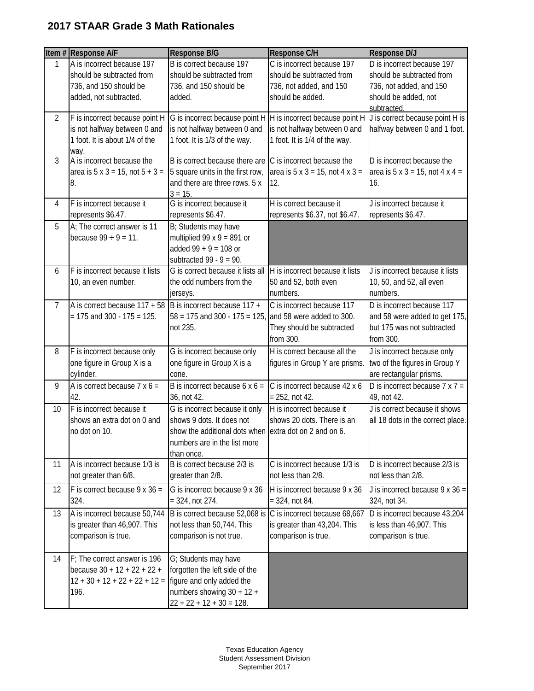## **2017 STAAR Grade 3 Math Rationales**

|                | Item # Response A/F                                                                                         | <b>Response B/G</b>                                                                                                                                                 | Response C/H                                                                                           | <b>Response D/J</b>                                                                                                              |
|----------------|-------------------------------------------------------------------------------------------------------------|---------------------------------------------------------------------------------------------------------------------------------------------------------------------|--------------------------------------------------------------------------------------------------------|----------------------------------------------------------------------------------------------------------------------------------|
| 1              | A is incorrect because 197<br>should be subtracted from<br>736, and 150 should be<br>added, not subtracted. | B is correct because 197<br>should be subtracted from<br>736, and 150 should be<br>added.                                                                           | C is incorrect because 197<br>should be subtracted from<br>736, not added, and 150<br>should be added. | D is incorrect because 197<br>should be subtracted from<br>736, not added, and 150<br>should be added, not<br>subtracted.        |
| $\overline{2}$ | F is incorrect because point H<br>is not halfway between 0 and<br>1 foot. It is about 1/4 of the<br>way.    | is not halfway between 0 and<br>1 foot. It is 1/3 of the way.                                                                                                       | is not halfway between 0 and<br>1 foot. It is 1/4 of the way.                                          | G is incorrect because point H  H is incorrect because point H  J is correct because point H is<br>halfway between 0 and 1 foot. |
| $\mathfrak{Z}$ | A is incorrect because the<br>area is $5 \times 3 = 15$ , not $5 + 3 =$<br>8.                               | B is correct because there are<br>5 square units in the first row,<br>and there are three rows. 5 x<br>$3 = 15.$                                                    | C is incorrect because the<br>area is $5 \times 3 = 15$ , not $4 \times 3 =$<br>12.                    | D is incorrect because the<br>area is $5 \times 3 = 15$ , not $4 \times 4 =$<br>16.                                              |
| 4              | F is incorrect because it<br>represents \$6.47.                                                             | G is incorrect because it<br>represents \$6.47.                                                                                                                     | H is correct because it<br>represents \$6.37, not \$6.47.                                              | J is incorrect because it<br>represents \$6.47.                                                                                  |
| 5              | A; The correct answer is 11<br>because $99 \div 9 = 11$ .                                                   | B; Students may have<br>multiplied 99 $x$ 9 = 891 or<br>added $99 + 9 = 108$ or<br>subtracted 99 - $9 = 90$ .                                                       |                                                                                                        |                                                                                                                                  |
| 6              | F is incorrect because it lists<br>10, an even number.                                                      | G is correct because it lists all<br>the odd numbers from the<br>jerseys.                                                                                           | H is incorrect because it lists<br>50 and 52, both even<br>numbers.                                    | J is incorrect because it lists<br>10, 50, and 52, all even<br>numbers.                                                          |
| $\overline{7}$ | A is correct because $117 + 58$ B is incorrect because $117 +$<br>$= 175$ and 300 - 175 = 125.              | $58 = 175$ and 300 - 175 = 125, and 58 were added to 300.<br>not 235.                                                                                               | C is incorrect because 117<br>They should be subtracted<br>from 300.                                   | D is incorrect because 117<br>and 58 were added to get 175,<br>but 175 was not subtracted<br>from 300.                           |
| 8              | F is incorrect because only<br>one figure in Group X is a<br>cylinder.                                      | G is incorrect because only<br>one figure in Group X is a<br>cone.                                                                                                  | H is correct because all the<br>figures in Group Y are prisms.                                         | J is incorrect because only<br>two of the figures in Group Y<br>are rectangular prisms.                                          |
| 9              | A is correct because $7 \times 6 =$<br>42.                                                                  | B is incorrect because $6 \times 6 =$<br>36, not 42.                                                                                                                | C is incorrect because 42 x 6<br>$= 252$ , not 42.                                                     | D is incorrect because $7 \times 7 =$<br>49, not 42.                                                                             |
| 10             | F is incorrect because it<br>shows an extra dot on 0 and<br>no dot on 10.                                   | G is incorrect because it only<br>shows 9 dots. It does not<br>show the additional dots when extra dot on 2 and on 6.<br>numbers are in the list more<br>than once. | H is incorrect because it<br>shows 20 dots. There is an                                                | J is correct because it shows<br>all 18 dots in the correct place.                                                               |
| 11             | A is incorrect because 1/3 is<br>not greater than 6/8.                                                      | B is correct because 2/3 is<br>greater than 2/8.                                                                                                                    | C is incorrect because 1/3 is<br>not less than 2/8.                                                    | D is incorrect because 2/3 is<br>not less than 2/8.                                                                              |
| 12             | F is correct because $9 \times 36 =$<br>324.                                                                | G is incorrect because 9 x 36<br>$= 324$ , not 274.                                                                                                                 | H is incorrect because 9 x 36<br>$= 324$ , not 84.                                                     | J is incorrect because $9 \times 36 =$<br>324, not 34.                                                                           |
| 13             | A is incorrect because 50,744<br>is greater than 46,907. This<br>comparison is true.                        | B is correct because 52,068 is<br>not less than 50,744. This<br>comparison is not true.                                                                             | C is incorrect because 68,667<br>is greater than 43,204. This<br>comparison is true.                   | D is incorrect because 43,204<br>is less than 46,907. This<br>comparison is true.                                                |
| 14             | F; The correct answer is 196<br>because $30 + 12 + 22 + 22 +$<br>$12 + 30 + 12 + 22 + 22 + 12 =$<br>196.    | G; Students may have<br>forgotten the left side of the<br>figure and only added the<br>numbers showing $30 + 12 +$<br>$22 + 22 + 12 + 30 = 128.$                    |                                                                                                        |                                                                                                                                  |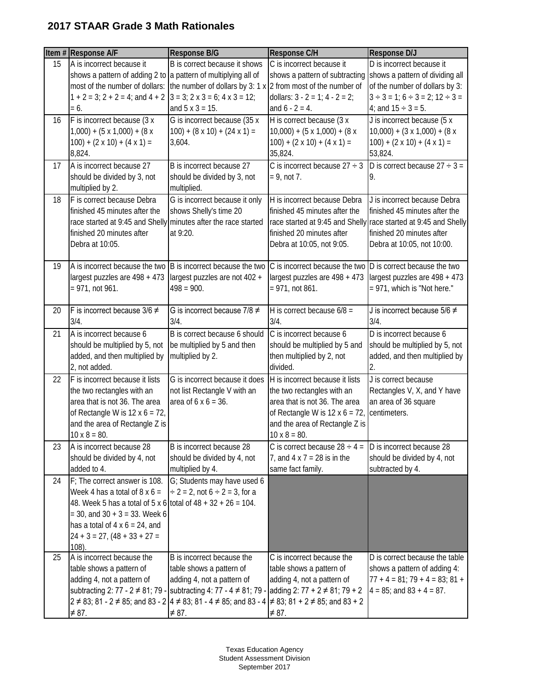## **2017 STAAR Grade 3 Math Rationales**

|    | Item # Response A/F                                                  | <b>Response B/G</b>                                                                                | Response C/H                                                        | Response D/J                                                                |
|----|----------------------------------------------------------------------|----------------------------------------------------------------------------------------------------|---------------------------------------------------------------------|-----------------------------------------------------------------------------|
| 15 | A is incorrect because it                                            | B is correct because it shows                                                                      | C is incorrect because it                                           | D is incorrect because it                                                   |
|    | shows a pattern of adding 2 to a pattern of multiplying all of       |                                                                                                    | shows a pattern of subtracting                                      | shows a pattern of dividing all                                             |
|    |                                                                      | most of the number of dollars: the number of dollars by 3: 1 $x$ 2 from most of the number of      |                                                                     | of the number of dollars by 3:                                              |
|    | $1 + 2 = 3$ ; $2 + 2 = 4$ ; and $4 + 2$<br>$= 6.$                    | $3 = 3$ ; $2 \times 3 = 6$ ; $4 \times 3 = 12$ ;<br>and $5 \times 3 = 15$ .                        | dollars: $3 - 2 = 1$ ; $4 - 2 = 2$ ;<br>and $6 - 2 = 4$ .           | $3 \div 3 = 1$ ; $6 \div 3 = 2$ ; $12 \div 3 =$<br>4; and $15 \div 3 = 5$ . |
| 16 | F is incorrect because (3 x                                          | G is incorrect because (35 x                                                                       | H is correct because (3 x                                           | J is incorrect because (5 x                                                 |
|    | $1,000$ ) + $(5 \times 1,000)$ + $(8 \times$                         | $100$ ) + $(8 \times 10)$ + $(24 \times 1)$ =                                                      | $10,000$ + $(5 \times 1,000)$ + $(8 \times$                         | $10,000$ + $(3 \times 1,000)$ + $(8 \times$                                 |
|    | $100$ ) + $(2 \times 10)$ + $(4 \times 1)$ =                         | 3,604.                                                                                             | $100$ ) + $(2 \times 10)$ + $(4 \times 1)$ =                        | $100$ ) + (2 x 10) + (4 x 1) =                                              |
|    | 8,824.                                                               |                                                                                                    | 35,824.                                                             | 53,824.                                                                     |
| 17 | A is incorrect because 27                                            | B is incorrect because 27                                                                          | C is incorrect because $27 \div 3$                                  | D is correct because $27 \div 3 =$                                          |
|    | should be divided by 3, not                                          | should be divided by 3, not                                                                        | $= 9$ , not 7.                                                      | 9.                                                                          |
|    | multiplied by 2.                                                     | multiplied.                                                                                        |                                                                     |                                                                             |
| 18 | F is correct because Debra                                           | G is incorrect because it only                                                                     | H is incorrect because Debra                                        | J is incorrect because Debra                                                |
|    | finished 45 minutes after the                                        | shows Shelly's time 20                                                                             | finished 45 minutes after the                                       | finished 45 minutes after the                                               |
|    | race started at 9:45 and Shelly minutes after the race started       |                                                                                                    |                                                                     | race started at 9:45 and Shelly race started at 9:45 and Shelly             |
|    | finished 20 minutes after                                            | at 9:20.                                                                                           | finished 20 minutes after                                           | finished 20 minutes after                                                   |
|    | Debra at 10:05.                                                      |                                                                                                    | Debra at 10:05, not 9:05.                                           | Debra at 10:05, not 10:00.                                                  |
|    |                                                                      |                                                                                                    |                                                                     |                                                                             |
| 19 | A is incorrect because the two B is incorrect because the two        |                                                                                                    | C is incorrect because the two                                      | D is correct because the two                                                |
|    | largest puzzles are 498 + 473                                        | largest puzzles are not 402 +                                                                      | largest puzzles are 498 + 473                                       | largest puzzles are 498 + 473                                               |
|    | $= 971$ , not 961.                                                   | $498 = 900.$                                                                                       | $= 971$ , not 861.                                                  | = 971, which is "Not here."                                                 |
| 20 | F is incorrect because $3/6 \neq$                                    | G is incorrect because $7/8 \neq$                                                                  | H is correct because $6/8 =$                                        | J is incorrect because 5/6 $\neq$                                           |
|    | $3/4$ .                                                              | 3/4.                                                                                               | 3/4.                                                                | $3/4$ .                                                                     |
| 21 | A is incorrect because 6                                             | B is correct because 6 should                                                                      | C is incorrect because 6                                            | D is incorrect because 6                                                    |
|    | should be multiplied by 5, not                                       | be multiplied by 5 and then                                                                        | should be multiplied by 5 and                                       | should be multiplied by 5, not                                              |
|    | added, and then multiplied by                                        | multiplied by 2.                                                                                   | then multiplied by 2, not                                           | added, and then multiplied by                                               |
|    | 2, not added.                                                        |                                                                                                    | divided.                                                            | 2.                                                                          |
| 22 | F is incorrect because it lists                                      | G is incorrect because it does                                                                     | H is incorrect because it lists                                     | J is correct because                                                        |
|    | the two rectangles with an                                           | not list Rectangle V with an                                                                       | the two rectangles with an                                          | Rectangles V, X, and Y have                                                 |
|    | area that is not 36. The area                                        | area of $6 \times 6 = 36$ .                                                                        | area that is not 36. The area                                       | an area of 36 square                                                        |
|    | of Rectangle W is $12 \times 6 = 72$ ,                               |                                                                                                    | of Rectangle W is $12 \times 6 = 72$ ,                              | centimeters.                                                                |
|    | and the area of Rectangle Z is                                       |                                                                                                    | and the area of Rectangle Z is                                      |                                                                             |
| 23 | $10 \times 8 = 80.$<br>A is incorrect because 28                     | B is incorrect because 28                                                                          | $10 \times 8 = 80.$<br>C is correct because $28 \div 4 =$           | D is incorrect because 28                                                   |
|    | should be divided by 4, not                                          | should be divided by 4, not                                                                        | 7, and $4 \times 7 = 28$ is in the                                  | should be divided by 4, not                                                 |
|    | added to 4.                                                          | multiplied by 4.                                                                                   | same fact family.                                                   | subtracted by 4.                                                            |
| 24 | F; The correct answer is 108.                                        | G; Students may have used 6                                                                        |                                                                     |                                                                             |
|    | Week 4 has a total of 8 $\times$ 6 =                                 | $\div$ 2 = 2, not 6 $\div$ 2 = 3, for a                                                            |                                                                     |                                                                             |
|    | 48. Week 5 has a total of 5 x 6 total of $48 + 32 + 26 = 104$ .      |                                                                                                    |                                                                     |                                                                             |
|    | $=$ 30, and 30 + 3 = 33. Week 6                                      |                                                                                                    |                                                                     |                                                                             |
|    | has a total of $4 \times 6 = 24$ , and                               |                                                                                                    |                                                                     |                                                                             |
|    | $24 + 3 = 27$ , $(48 + 33 + 27 =$                                    |                                                                                                    |                                                                     |                                                                             |
|    | $108)$ .                                                             |                                                                                                    |                                                                     |                                                                             |
| 25 | A is incorrect because the                                           | B is incorrect because the                                                                         | C is incorrect because the                                          | D is correct because the table                                              |
|    | table shows a pattern of                                             | table shows a pattern of                                                                           | table shows a pattern of                                            | shows a pattern of adding 4:<br>$77 + 4 = 81$ ; $79 + 4 = 83$ ; $81 +$      |
|    | adding 4, not a pattern of<br>subtracting 2: 77 - $2 \neq 81$ ; 79 - | adding 4, not a pattern of<br>subtracting 4: 77 - 4 $\neq$ 81; 79 -                                | adding 4, not a pattern of<br>adding 2: $77 + 2 \neq 81$ ; $79 + 2$ | $4 = 85$ ; and $83 + 4 = 87$ .                                              |
|    |                                                                      | 2 ≠ 83; 81 - 2 ≠ 85; and 83 - 2 4 ≠ 83; 81 - 4 ≠ 85; and 83 - 4 $\neq$ 83; 81 + 2 ≠ 85; and 83 + 2 |                                                                     |                                                                             |
|    | $\neq$ 87.                                                           | $\neq$ 87.                                                                                         | $\neq 87$ .                                                         |                                                                             |